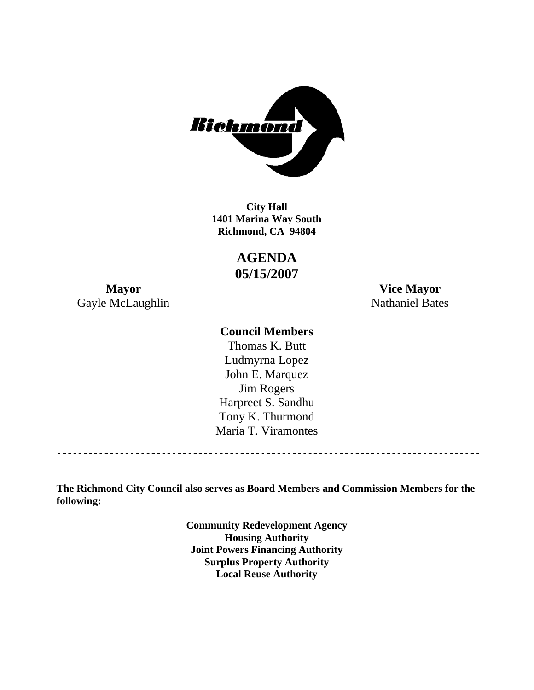

**1401 Marina Way South Richmond, CA 94804 City Hall** 

> **AGENDA 05/15/2007**

Gayle McLaughlin Nathaniel Bates

**Mayor Vice Mayor** 

### **Council Members**

Harpreet S. Sandhu Tony K. Thurmond Maria T. Viramontes Thomas K. Butt Ludmyrna Lopez John E. Marquez Jim Rogers

**The Richmond City Council also serves as Board Members and Commission Members for the following:** 

> **Community Redevelopment Agency Housing Authority Joint Powers Financing Authority Surplus Property Authority Local Reuse Authority**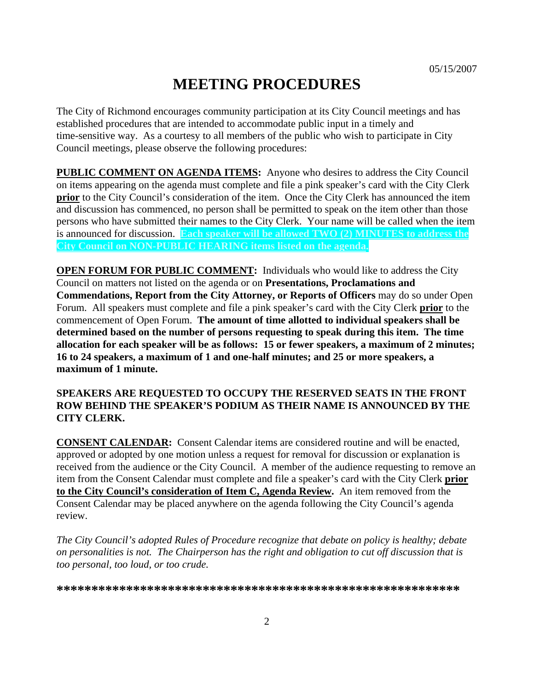# **MEETING PROCEDURES**

The City of Richmond encourages community participation at its City Council meetings and has established procedures that are intended to accommodate public input in a timely and time-sensitive way. As a courtesy to all members of the public who wish to participate in City Council meetings, please observe the following procedures:

**PUBLIC COMMENT ON AGENDA ITEMS:** Anyone who desires to address the City Council on items appearing on the agenda must complete and file a pink speaker's card with the City Clerk **prior** to the City Council's consideration of the item. Once the City Clerk has announced the item and discussion has commenced, no person shall be permitted to speak on the item other than those persons who have submitted their names to the City Clerk. Your name will be called when the item is announced for discussion. **Each speaker will be allowed TWO (2) MINUTES to address the City Council on NON-PUBLIC HEARING items listed on the agenda.** 

**OPEN FORUM FOR PUBLIC COMMENT:** Individuals who would like to address the City Council on matters not listed on the agenda or on **Presentations, Proclamations and Commendations, Report from the City Attorney, or Reports of Officers** may do so under Open Forum. All speakers must complete and file a pink speaker's card with the City Clerk **prior** to the commencement of Open Forum. **The amount of time allotted to individual speakers shall be determined based on the number of persons requesting to speak during this item. The time allocation for each speaker will be as follows: 15 or fewer speakers, a maximum of 2 minutes; 16 to 24 speakers, a maximum of 1 and one-half minutes; and 25 or more speakers, a maximum of 1 minute.** 

#### **SPEAKERS ARE REQUESTED TO OCCUPY THE RESERVED SEATS IN THE FRONT ROW BEHIND THE SPEAKER'S PODIUM AS THEIR NAME IS ANNOUNCED BY THE CITY CLERK.**

**CONSENT CALENDAR:** Consent Calendar items are considered routine and will be enacted, approved or adopted by one motion unless a request for removal for discussion or explanation is received from the audience or the City Council. A member of the audience requesting to remove an item from the Consent Calendar must complete and file a speaker's card with the City Clerk **prior to the City Council's consideration of Item C, Agenda Review.** An item removed from the Consent Calendar may be placed anywhere on the agenda following the City Council's agenda review.

*The City Council's adopted Rules of Procedure recognize that debate on policy is healthy; debate on personalities is not. The Chairperson has the right and obligation to cut off discussion that is too personal, too loud, or too crude.* 

**\*\*\*\*\*\*\*\*\*\*\*\*\*\*\*\*\*\*\*\*\*\*\*\*\*\*\*\*\*\*\*\*\*\*\*\*\*\*\*\*\*\*\*\*\*\*\*\*\*\*\*\*\*\*\*\*\*\***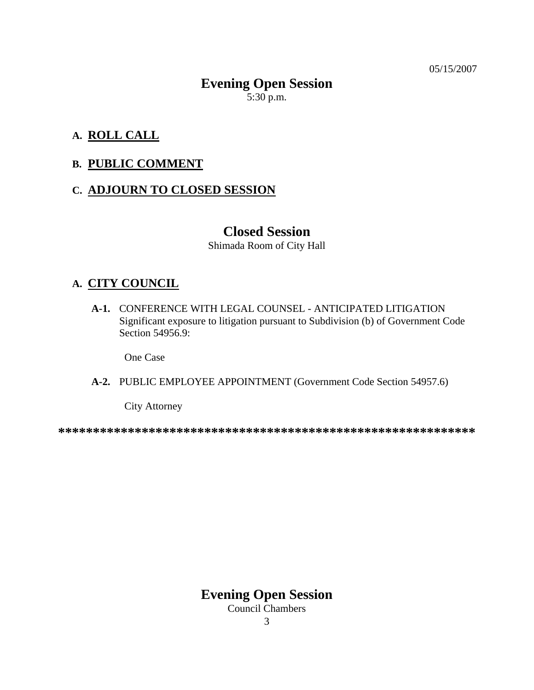05/15/2007

# **Evening Open Session**   $5:30$  p.m.

# **A. ROLL CALL**

### **B. PUBLIC COMMENT**

### **C. ADJOURN TO CLOSED SESSION**

### **Closed Session**

Shimada Room of City Hall

### **A. CITY COUNCIL**

 **A-1.** CONFERENCE WITH LEGAL COUNSEL - ANTICIPATED LITIGATION Significant exposure to litigation pursuant to Subdivision (b) of Government Code Section 54956.9:

One Case

#### **A-2.** PUBLIC EMPLOYEE APPOINTMENT (Government Code Section 54957.6)

City Attorney

**\*\*\*\*\*\*\*\*\*\*\*\*\*\*\*\*\*\*\*\*\*\*\*\*\*\*\*\*\*\*\*\*\*\*\*\*\*\*\*\*\*\*\*\*\*\*\*\*\*\*\*\*\*\*\*\*\*\*\*\*** 

**Evening Open Session** 

Council Chambers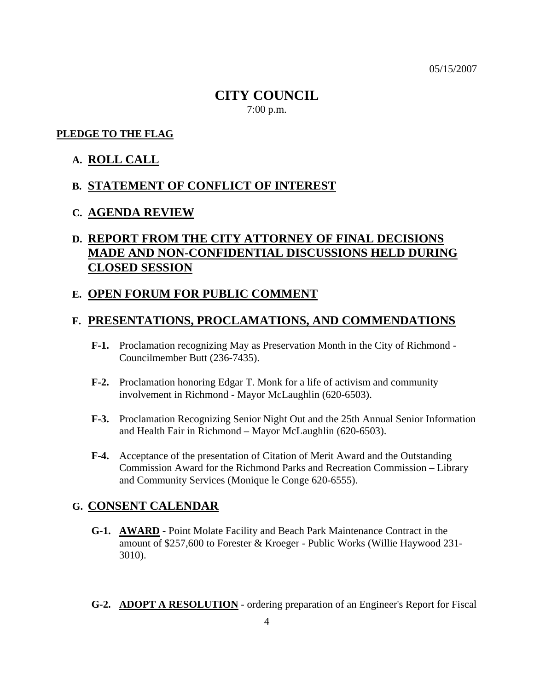05/15/2007

# **CITY COUNCIL**  7:00 p.m.

#### **PLEDGE TO THE FLAG**

#### **A. ROLL CALL**

### **B. STATEMENT OF CONFLICT OF INTEREST**

#### **C. AGENDA REVIEW**

# **D. REPORT FROM THE CITY ATTORNEY OF FINAL DECISIONS MADE AND NON-CONFIDENTIAL DISCUSSIONS HELD DURING CLOSED SESSION**

#### **E. OPEN FORUM FOR PUBLIC COMMENT**

#### **F. PRESENTATIONS, PROCLAMATIONS, AND COMMENDATIONS**

- **F-1.** Proclamation recognizing May as Preservation Month in the City of Richmond Councilmember Butt (236-7435).
- **F-2.** Proclamation honoring Edgar T. Monk for a life of activism and community involvement in Richmond - Mayor McLaughlin (620-6503).
- **F-3.** Proclamation Recognizing Senior Night Out and the 25th Annual Senior Information and Health Fair in Richmond – Mayor McLaughlin (620-6503).
- **F-4.** Acceptance of the presentation of Citation of Merit Award and the Outstanding Commission Award for the Richmond Parks and Recreation Commission – Library and Community Services (Monique le Conge 620-6555).

#### **G. CONSENT CALENDAR**

- **G-1. AWARD** Point Molate Facility and Beach Park Maintenance Contract in the amount of \$257,600 to Forester & Kroeger - Public Works (Willie Haywood 231- 3010).
- **G-2. ADOPT A RESOLUTION** ordering preparation of an Engineer's Report for Fiscal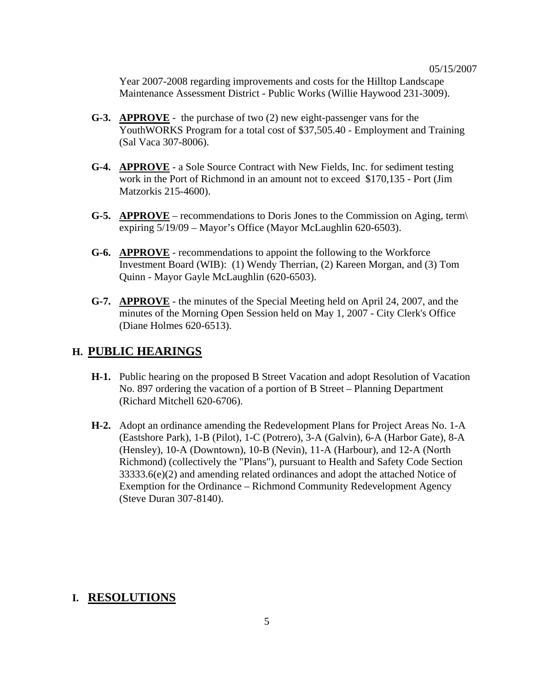Year 2007-2008 regarding improvements and costs for the Hilltop Landscape Maintenance Assessment District - Public Works (Willie Haywood 231-3009).

- **G-3. APPROVE** the purchase of two (2) new eight-passenger vans for the YouthWORKS Program for a total cost of \$37,505.40 - Employment and Training (Sal Vaca 307-8006).
- **G-4. APPROVE** a Sole Source Contract with New Fields, Inc. for sediment testing work in the Port of Richmond in an amount not to exceed \$170,135 - Port (Jim Matzorkis 215-4600).
- **G-5. APPROVE** recommendations to Doris Jones to the Commission on Aging, term\ expiring 5/19/09 – Mayor's Office (Mayor McLaughlin 620-6503).
- **G-6. APPROVE** recommendations to appoint the following to the Workforce Investment Board (WIB): (1) Wendy Therrian, (2) Kareen Morgan, and (3) Tom Quinn - Mayor Gayle McLaughlin (620-6503).
- **G-7. APPROVE** the minutes of the Special Meeting held on April 24, 2007, and the minutes of the Morning Open Session held on May 1, 2007 - City Clerk's Office (Diane Holmes 620-6513).

#### **H. PUBLIC HEARINGS**

- **H-1.** Public hearing on the proposed B Street Vacation and adopt Resolution of Vacation No. 897 ordering the vacation of a portion of B Street – Planning Department (Richard Mitchell 620-6706).
- **H-2.** Adopt an ordinance amending the Redevelopment Plans for Project Areas No. 1-A (Eastshore Park), 1-B (Pilot), 1-C (Potrero), 3-A (Galvin), 6-A (Harbor Gate), 8-A (Hensley), 10-A (Downtown), 10-B (Nevin), 11-A (Harbour), and 12-A (North Richmond) (collectively the "Plans"), pursuant to Health and Safety Code Section 33333.6(e)(2) and amending related ordinances and adopt the attached Notice of Exemption for the Ordinance – Richmond Community Redevelopment Agency (Steve Duran 307-8140).

#### **I. RESOLUTIONS**